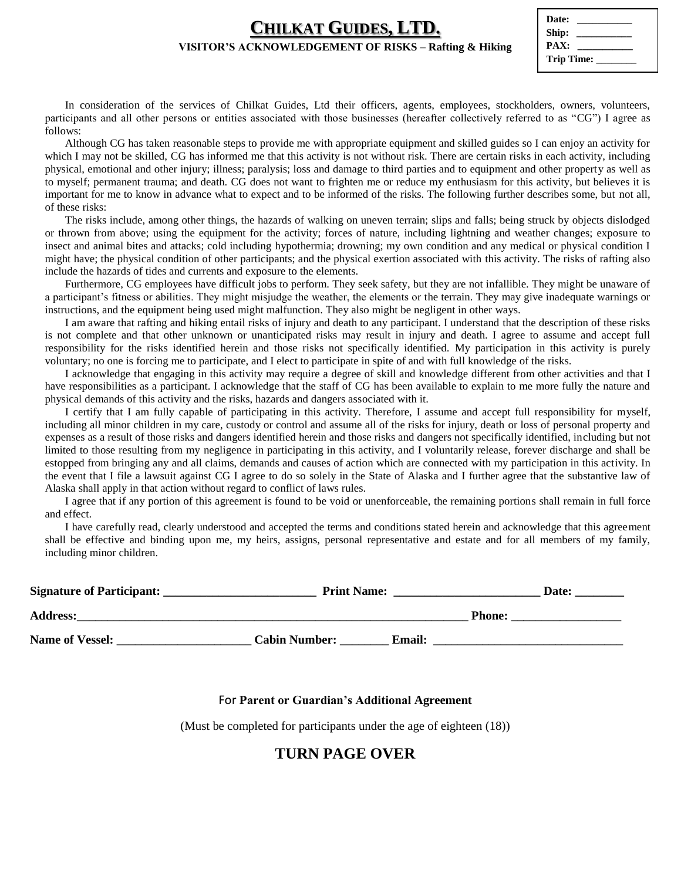## **CHILKAT GUIDES, LTD.**

#### **VISITOR'S ACKNOWLEDGEMENT OF RISKS – Rafting & Hiking**

| Date:           |
|-----------------|
| Ship:           |
| PAX:            |
| Trip Time: ____ |
|                 |

In consideration of the services of Chilkat Guides, Ltd their officers, agents, employees, stockholders, owners, volunteers, participants and all other persons or entities associated with those businesses (hereafter collectively referred to as "CG") I agree as follows:

Although CG has taken reasonable steps to provide me with appropriate equipment and skilled guides so I can enjoy an activity for which I may not be skilled, CG has informed me that this activity is not without risk. There are certain risks in each activity, including physical, emotional and other injury; illness; paralysis; loss and damage to third parties and to equipment and other property as well as to myself; permanent trauma; and death. CG does not want to frighten me or reduce my enthusiasm for this activity, but believes it is important for me to know in advance what to expect and to be informed of the risks. The following further describes some, but not all, of these risks:

The risks include, among other things, the hazards of walking on uneven terrain; slips and falls; being struck by objects dislodged or thrown from above; using the equipment for the activity; forces of nature, including lightning and weather changes; exposure to insect and animal bites and attacks; cold including hypothermia; drowning; my own condition and any medical or physical condition I might have; the physical condition of other participants; and the physical exertion associated with this activity. The risks of rafting also include the hazards of tides and currents and exposure to the elements.

Furthermore, CG employees have difficult jobs to perform. They seek safety, but they are not infallible. They might be unaware of a participant's fitness or abilities. They might misjudge the weather, the elements or the terrain. They may give inadequate warnings or instructions, and the equipment being used might malfunction. They also might be negligent in other ways.

I am aware that rafting and hiking entail risks of injury and death to any participant. I understand that the description of these risks is not complete and that other unknown or unanticipated risks may result in injury and death. I agree to assume and accept full responsibility for the risks identified herein and those risks not specifically identified. My participation in this activity is purely voluntary; no one is forcing me to participate, and I elect to participate in spite of and with full knowledge of the risks.

I acknowledge that engaging in this activity may require a degree of skill and knowledge different from other activities and that I have responsibilities as a participant. I acknowledge that the staff of CG has been available to explain to me more fully the nature and physical demands of this activity and the risks, hazards and dangers associated with it.

I certify that I am fully capable of participating in this activity. Therefore, I assume and accept full responsibility for myself, including all minor children in my care, custody or control and assume all of the risks for injury, death or loss of personal property and expenses as a result of those risks and dangers identified herein and those risks and dangers not specifically identified, including but not limited to those resulting from my negligence in participating in this activity, and I voluntarily release, forever discharge and shall be estopped from bringing any and all claims, demands and causes of action which are connected with my participation in this activity. In the event that I file a lawsuit against CG I agree to do so solely in the State of Alaska and I further agree that the substantive law of Alaska shall apply in that action without regard to conflict of laws rules.

I agree that if any portion of this agreement is found to be void or unenforceable, the remaining portions shall remain in full force and effect.

I have carefully read, clearly understood and accepted the terms and conditions stated herein and acknowledge that this agreement shall be effective and binding upon me, my heirs, assigns, personal representative and estate and for all members of my family, including minor children.

| <b>Signature of Participant:</b> | <b>Print Name:</b>   |               | Date:         |
|----------------------------------|----------------------|---------------|---------------|
| <b>Address:</b>                  |                      |               | <b>Phone:</b> |
| <b>Name of Vessel:</b>           | <b>Cabin Number:</b> | <b>Email:</b> |               |

### For **Parent or Guardian's Additional Agreement**

(Must be completed for participants under the age of eighteen (18))

## **TURN PAGE OVER**